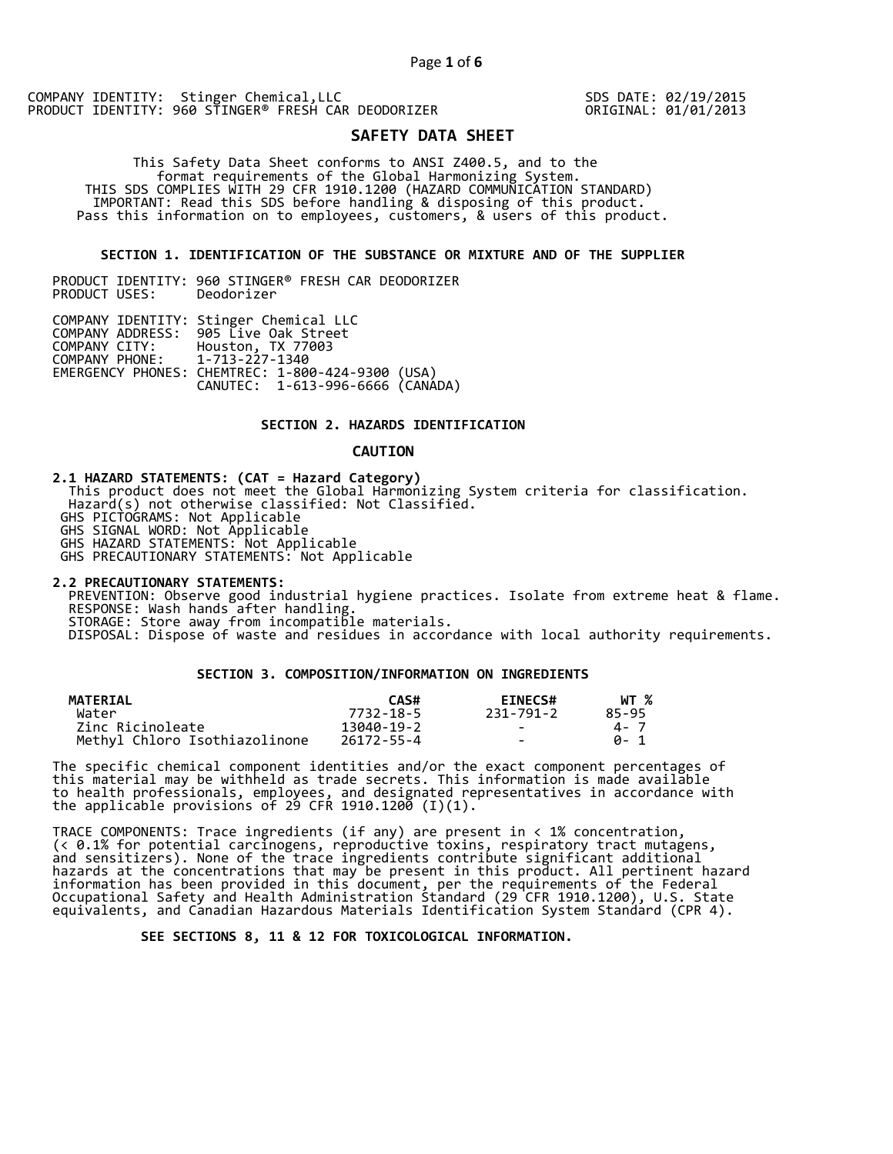SDS DATE: 02/19/2015 ORIGINAL: 01/01/2013

# **SAFETY DATA SHEET**

 This Safety Data Sheet conforms to ANSI Z400.5, and to the format requirements of the Global Harmonizing System. THIS SDS COMPLIES WITH 29 CFR 1910.1200 (HAZARD COMMUNICATION STANDARD) IMPORTANT: Read this SDS before handling & disposing of this product. Pass this information on to employees, customers, & users of this product.

# **SECTION 1. IDENTIFICATION OF THE SUBSTANCE OR MIXTURE AND OF THE SUPPLIER**

PRODUCT IDENTITY: 960 STINGER® FRESH CAR DEODORIZER PRODUCT USES:

|                               | COMPANY IDENTITY: Stinger Chemical LLC           |  |
|-------------------------------|--------------------------------------------------|--|
|                               | COMPANY ADDRESS: 905 Live Oak Street             |  |
|                               | COMPANY CITY: Houston, TX 77003                  |  |
| COMPANY PHONE: 1-713-227-1340 |                                                  |  |
|                               | EMERGENCY PHONES: CHEMTREC: 1-800-424-9300 (USA) |  |
|                               | CANUTEC: 1-613-996-6666 (CANÁDA)                 |  |

# **SECTION 2. HAZARDS IDENTIFICATION**

#### **CAUTION**

**2.1 HAZARD STATEMENTS: (CAT = Hazard Category)** This product does not meet the Global Harmonizing System criteria for classification. Hazard(s) not otherwise classified: Not Classified. GHS PICTOGRAMS: Not Applicable GHS SIGNAL WORD: Not Applicable GHS HAZARD STATEMENTS: Not Applicable GHS PRECAUTIONARY STATEMENTS: Not Applicable

**2.2 PRECAUTIONARY STATEMENTS:**  PREVENTION: Observe good industrial hygiene practices. Isolate from extreme heat & flame. RESPONSE: Wash hands after handling. STORAGE: Store away from incompatible materials. DISPOSAL: Dispose of waste and residues in accordance with local authority requirements.

# **SECTION 3. COMPOSITION/INFORMATION ON INGREDIENTS**

| <b>MATERIAL</b>               | CAS#       | <b>EINECS#</b> | WT %  |
|-------------------------------|------------|----------------|-------|
| Water                         | 7732-18-5  | 231-791-2      | 85-95 |
| Zinc Ricinoleate              | 13040-19-2 | $\sim$         | 4 - 7 |
| Methyl Chloro Isothiazolinone | 26172-55-4 | $\sim$         | A- 1  |

The specific chemical component identities and/or the exact component percentages of this material may be withheld as trade secrets. This information is made available to health professionals, employees, and designated representatives in accordance with the applicable provisions of 29 CFR 1910.1200̄ (I)(1).  $\overline{\phantom{a}}$ 

TRACE COMPONENTS: Trace ingredients (if any) are present in < 1% concentration, (< 0.1% for potential carcinogens, reproductive toxins, respiratory tract mutagens, and sensitizers). None of the trace ingredients contribute significant additional hazards at the concentrations that may be present in this product. All pertinent hazard information has been provided in this document, per the requirements of the Federal Occupational Safety and Health Administration Standard (29 CFR 1910.1200), U.S. State equivalents, and Canadian Hazardous Materials Identification System Standard (CPR 4).

 **SEE SECTIONS 8, 11 & 12 FOR TOXICOLOGICAL INFORMATION.**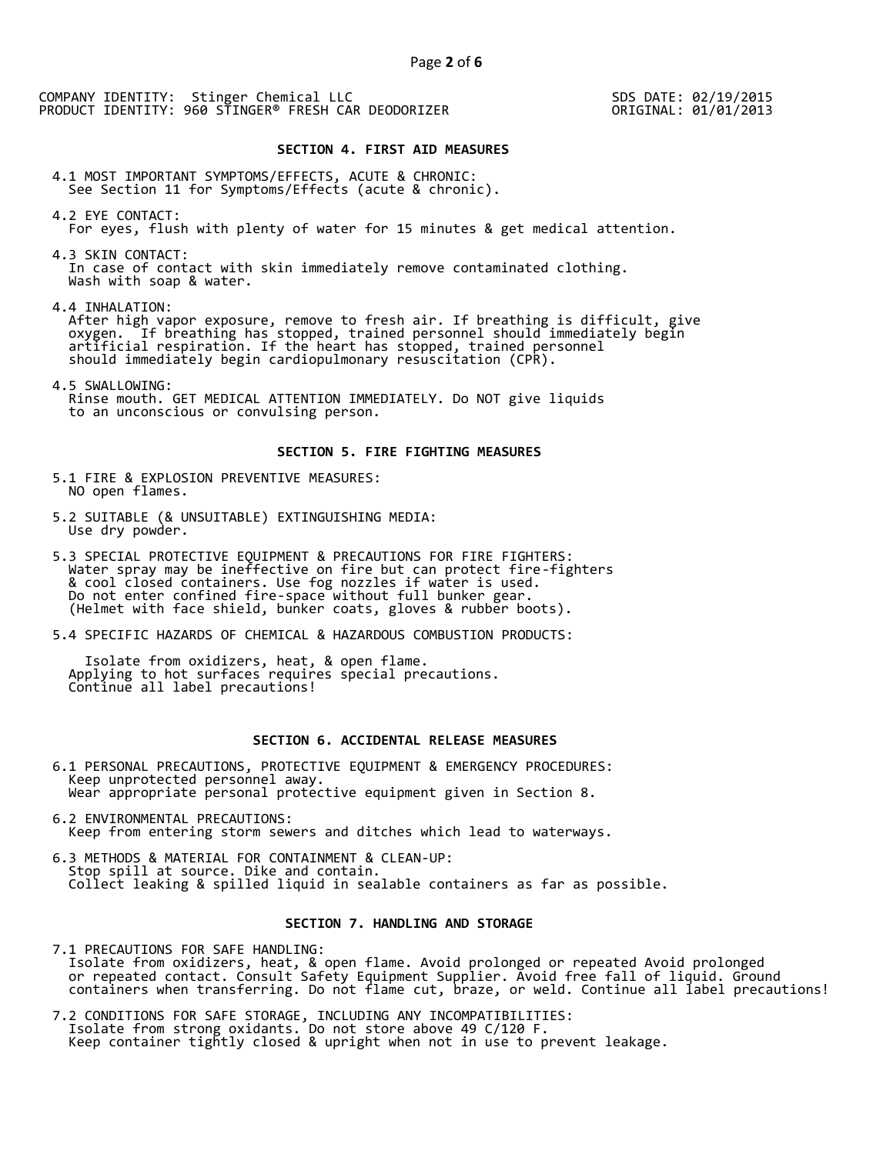SDS DATE: 02/19/2015 ORIGINAL: 01/01/2013

## **SECTION 4. FIRST AID MEASURES**

4.1 MOST IMPORTANT SYMPTOMS/EFFECTS, ACUTE & CHRONIC: See Section 11 for Symptoms/Effects (acute & chronic).

4.2 EYE CONTACT: For eyes, flush with plenty of water for 15 minutes & get medical attention.

4.3 SKIN CONTACT: In case of contact with skin immediately remove contaminated clothing. Wash with soap & water.

4.4 INHALATION:

 After high vapor exposure, remove to fresh air. If breathing is difficult, give oxygen. If breathing has stopped, trained personnel should immediately begin artificial respiration. If the heart has stopped, trained personnel should immediately begin cardiopulmonary resuscitation (CPR).

4.5 SWALLOWING: Rinse mouth. GET MEDICAL ATTENTION IMMEDIATELY. Do NOT give liquids to an unconscious or convulsing person.

## **SECTION 5. FIRE FIGHTING MEASURES**

5.1 FIRE & EXPLOSION PREVENTIVE MEASURES: NO open flames.

- 5.2 SUITABLE (& UNSUITABLE) EXTINGUISHING MEDIA: Use dry powder.
- 5.3 SPECIAL PROTECTIVE EQUIPMENT & PRECAUTIONS FOR FIRE FIGHTERS: Water spray may be ineffective on fire but can protect fire-fighters & cool closed containers. Use fog nozzles if water is used. Do not enter confined fire-space without full bunker gear. (Helmet with face shield, bunker coats, gloves & rubber boots).
- 5.4 SPECIFIC HAZARDS OF CHEMICAL & HAZARDOUS COMBUSTION PRODUCTS:

 Isolate from oxidizers, heat, & open flame. Applying to hot surfaces requires special precautions. Continue all label precautions!

# **SECTION 6. ACCIDENTAL RELEASE MEASURES**

- 6.1 PERSONAL PRECAUTIONS, PROTECTIVE EQUIPMENT & EMERGENCY PROCEDURES: Keep unprotected personnel away. Wear appropriate personal protective equipment given in Section 8.
- 6.2 ENVIRONMENTAL PRECAUTIONS: Keep from entering storm sewers and ditches which lead to waterways.
- 6.3 METHODS & MATERIAL FOR CONTAINMENT & CLEAN-UP: Stop spill at source. Dike and contain. Collect leaking & spilled liquid in sealable containers as far as possible.

## **SECTION 7. HANDLING AND STORAGE**

7.1 PRECAUTIONS FOR SAFE HANDLING: Isolate from oxidizers, heat, & open flame. Avoid prolonged or repeated Avoid prolonged or repeated contact. Consult Safety Equipment Supplier. Avoid free fall of liquid. Ground containers when transferring. Do not flame cut, braze, or weld. Continue all label precautions!

7.2 CONDITIONS FOR SAFE STORAGE, INCLUDING ANY INCOMPATIBILITIES: Isolate from strong oxidants. Do not store above 49 C/120 F. Keep container tightly closed & upright when not in use to prevent leakage.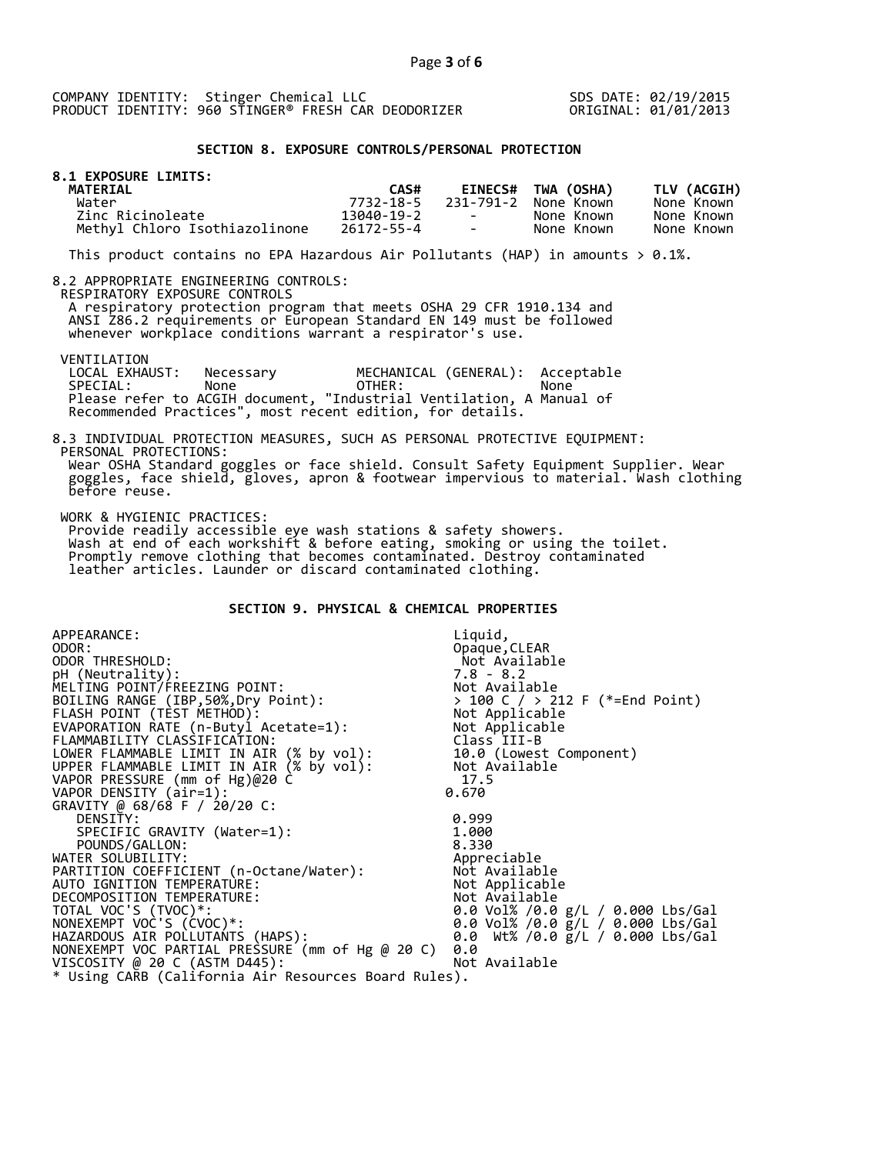SDS DATE: 02/19/2015 ORIGINAL: 01/01/2013

## **SECTION 8. EXPOSURE CONTROLS/PERSONAL PROTECTION**

| <b>8.1 EXPOSURE LIMITS:</b><br><b>MATERIAL</b> | CAS#       |                                   | <b>EINECS# TWA (OSHA)</b> | TLV (ACGIH) |
|------------------------------------------------|------------|-----------------------------------|---------------------------|-------------|
| Water                                          | 7732-18-5  |                                   | 231-791-2 None Known      | None Known  |
| Zinc Ricinoleate                               | 13040-19-2 | <b>Contract Contract Contract</b> | None Known                | None Known  |
| Methyl Chloro Isothiazolinone                  | 26172-55-4 | the contract of                   | None Known                | None Known  |

This product contains no EPA Hazardous Air Pollutants (HAP) in amounts  $> 0.1\%$ .

#### 8.2 APPROPRIATE ENGINEERING CONTROLS:

RESPIRATORY EXPOSURE CONTROLS

 A respiratory protection program that meets OSHA 29 CFR 1910.134 and ANSI Z86.2 requirements or European Standard EN 149 must be followed whenever workplace conditions warrant a respirator's use.

VENTILATION<br>LOCAL EXHAUST:

LOCAL EXHAUST: Necessary MECHANICAL (GENERAL): Acceptable<br>SPECIAL: None OTHER: None SPECIAL: None OTHER: None Please refer to ACGIH document, "Industrial Ventilation, A Manual of Recommended Practices", most recent edition, for details.

#### 8.3 INDIVIDUAL PROTECTION MEASURES, SUCH AS PERSONAL PROTECTIVE EQUIPMENT: PERSONAL PROTECTIONS: Wear OSHA Standard goggles or face shield. Consult Safety Equipment Supplier. Wear goggles, face shield, gloves, apron & footwear impervious to material. Wash clothing before reuse.

WORK & HYGIENIC PRACTICES:

 Provide readily accessible eye wash stations & safety showers. Wash at end of each workshift & before eating, smoking or using the toilet. Promptly remove clothing that becomes contaminated. Destroy contaminated leather articles. Launder or discard contaminated clothing.

# **SECTION 9. PHYSICAL & CHEMICAL PROPERTIES**

| APPEARANCE:                                          | Liquid,                                        |
|------------------------------------------------------|------------------------------------------------|
| ODOR:                                                | Opaque, CLEAR                                  |
| ODOR THRESHOLD:                                      | Not Available                                  |
| pH (Neutrality):                                     | $7.8 - 8.2$                                    |
| MELTING POINT/FREEZING POINT:                        | Not Available                                  |
| BOILING RANGE (IBP, 50%, Dry Point):                 | > 100 C / > 212 F (*=End Point)                |
| FLASH POINT (TÈST METHOD):                           | > 100 C / > ∠i∠<br>Not Applicable<br>Armicable |
| EVAPORATION RATE (n-Butyl Acetate=1):                | Not Applicable                                 |
| FLAMMABILITY CLASSIFICATION:                         | Class III-B                                    |
| LOWER FLAMMABLE LIMIT IN AIR (% by vol):             | 10.0 (Lowest Component)                        |
| UPPER FLAMMABLE LIMIT IN AIR (% by vol):             | Not Available                                  |
| VAPOR PRESSURE (mm of Hg)@20 C                       | 17.5                                           |
| VAPOR DENSITY (air=1):                               | 0.670                                          |
| GRAVITY @ 68/68 F / 20/20 C:                         |                                                |
| DENSITY:                                             | 0.999                                          |
| SPECIFIC GRAVITY (Water=1):                          | 1.000                                          |
| POUNDS/GALLON:                                       | 8.330                                          |
| WATER SOLUBILITY:                                    | Appreciable                                    |
| PARTITION COEFFICIENT (n-Octane/Water):              | Not Available                                  |
| AUTO IGNITION TEMPERATURE:                           | Not Applicable                                 |
| DECOMPOSITION TEMPERATURE:                           | Not Available                                  |
| TOTAL VOC'S (TVOC)*:                                 | 0.0 Vol% /0.0 g/L / 0.000 Lbs/Gal              |
| NONEXEMPT VOC'S (CVOC)*:                             | 0.0 Vol% /0.0 g/L / 0.000 Lbs/Gal              |
| HAZARDOUS AIR POLLUTANTS (HAPS):                     | 0.0 Wt% /0.0 g/L / 0.000 Lbs/Gal               |
| NONEXEMPT VOC PARTIAL PRESSURE (mm of Hg @ 20 C)     | 0.0                                            |
| VISCOSITY @ 20 C (ASTM D445):                        | Not Available                                  |
| * Using CARB (California Air Resources Board Rules). |                                                |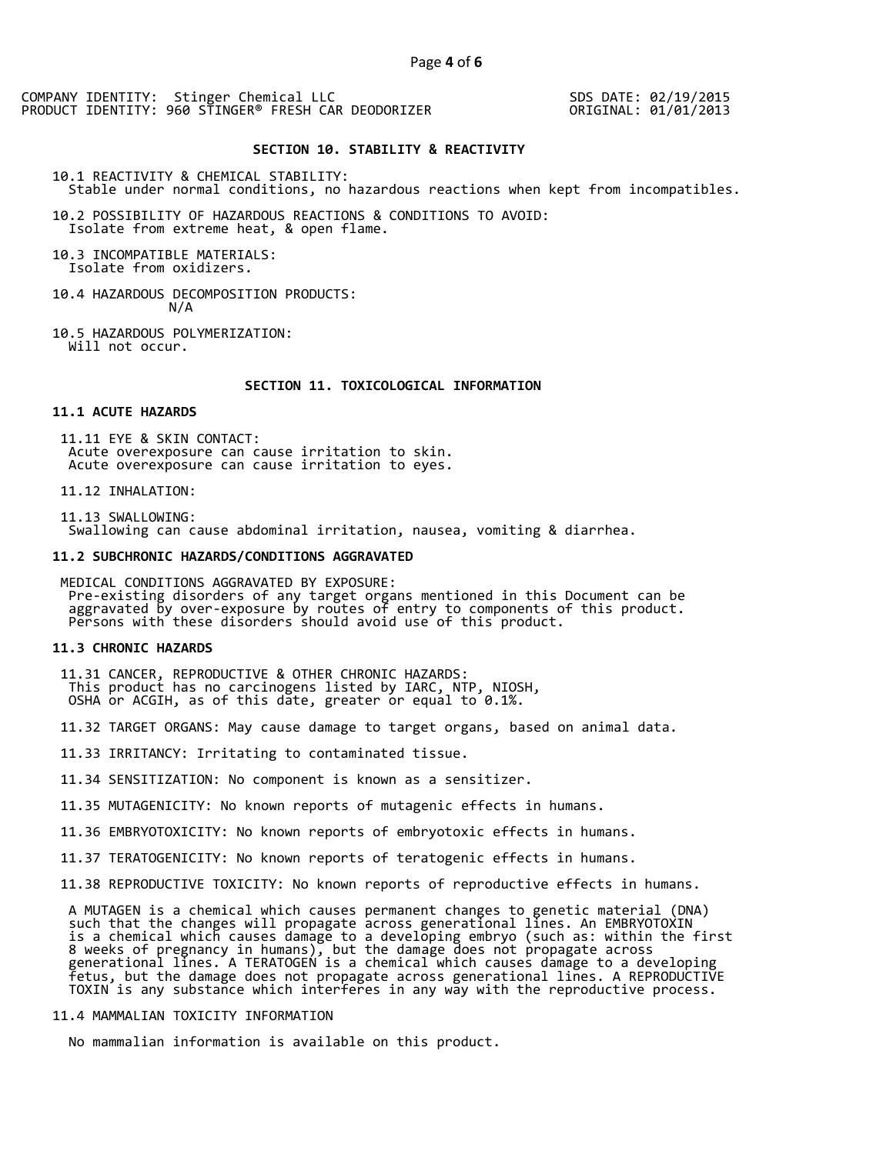SDS DATE: 02/19/2015 ORIGINAL: 01/01/2013

#### **SECTION 10. STABILITY & REACTIVITY**

10.1 REACTIVITY & CHEMICAL STABILITY: Stable under normal conditions, no hazardous reactions when kept from incompatibles.

10.2 POSSIBILITY OF HAZARDOUS REACTIONS & CONDITIONS TO AVOID: Isolate from extreme heat, & open flame.

10.3 INCOMPATIBLE MATERIALS: Isolate from oxidizers.

- 10.4 HAZARDOUS DECOMPOSITION PRODUCTS: N/A
- 10.5 HAZARDOUS POLYMERIZATION: Will not occur.

# **SECTION 11. TOXICOLOGICAL INFORMATION**

## **11.1 ACUTE HAZARDS**

 11.11 EYE & SKIN CONTACT: Acute overexposure can cause irritation to skin. Acute overexposure can cause irritation to eyes.

11.12 INHALATION:

 11.13 SWALLOWING: Swallowing can cause abdominal irritation, nausea, vomiting & diarrhea.

#### **11.2 SUBCHRONIC HAZARDS/CONDITIONS AGGRAVATED**

 MEDICAL CONDITIONS AGGRAVATED BY EXPOSURE: Pre-existing disorders of any target organs mentioned in this Document can be aggravated by over-exposure by routes of entry to components of this product. Persons with these disorders should avoid use of this product.

#### **11.3 CHRONIC HAZARDS**

- 11.31 CANCER, REPRODUCTIVE & OTHER CHRONIC HAZARDS: This product has no carcinogens listed by IARC, NTP, NIOSH, OSHA or ACGIH, as of this date, greater or equal to 0.1%.
- 11.32 TARGET ORGANS: May cause damage to target organs, based on animal data.
- 11.33 IRRITANCY: Irritating to contaminated tissue.
- 11.34 SENSITIZATION: No component is known as a sensitizer.
- 11.35 MUTAGENICITY: No known reports of mutagenic effects in humans.
- 11.36 EMBRYOTOXICITY: No known reports of embryotoxic effects in humans.
- 11.37 TERATOGENICITY: No known reports of teratogenic effects in humans.
- 11.38 REPRODUCTIVE TOXICITY: No known reports of reproductive effects in humans.

 A MUTAGEN is a chemical which causes permanent changes to genetic material (DNA) such that the changes will propagate across generational lines. An EMBRYOTOXIN is a chemical which causes damage to a developing embryo (such as: within the first 8 weeks of pregnancy in humans), but the damage does not propagate across generational lines. A TERATOGEN is a chemical which causes damage to a developing fetus, but the damage does not propagate across generational lines. A REPRODUCTIVE TOXIN is any substance which interferes in any way with the reproductive process.

# 11.4 MAMMALIAN TOXICITY INFORMATION

No mammalian information is available on this product.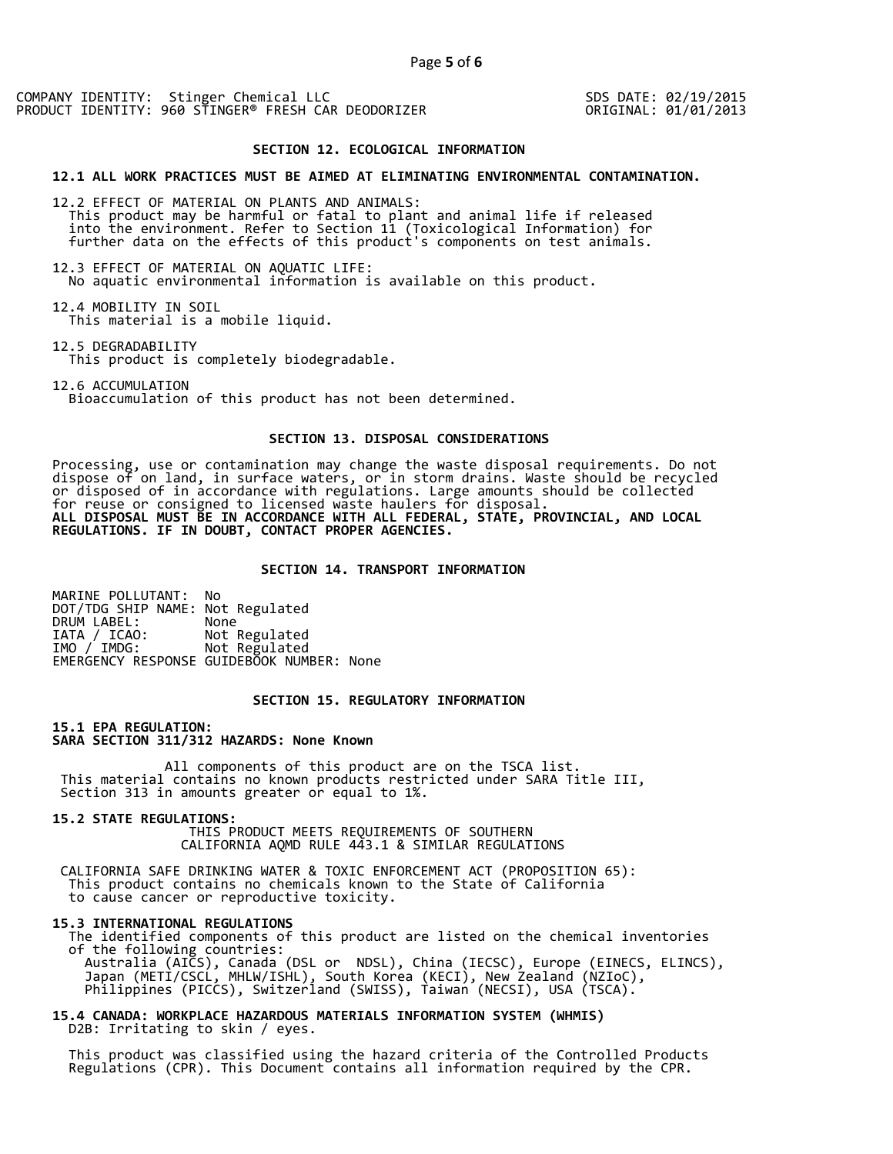SDS DATE: 02/19/2015 ORIGINAL: 01/01/2013

# **SECTION 12. ECOLOGICAL INFORMATION**

#### **12.1 ALL WORK PRACTICES MUST BE AIMED AT ELIMINATING ENVIRONMENTAL CONTAMINATION.**

12.2 EFFECT OF MATERIAL ON PLANTS AND ANIMALS: This product may be harmful or fatal to plant and animal life if released into the environment. Refer to Section 11 (Toxicological Information) for further data on the effects of this product's components on test animals.

12.3 EFFECT OF MATERIAL ON AQUATIC LIFE: No aquatic environmental information is available on this product.

12.4 MOBILITY IN SOIL This material is a mobile liquid.

12.5 DEGRADABILITY This product is completely biodegradable.

12.6 ACCUMULATION Bioaccumulation of this product has not been determined.

## **SECTION 13. DISPOSAL CONSIDERATIONS**

Processing, use or contamination may change the waste disposal requirements. Do not dispose of on land, in surface waters, or in storm drains. Waste should be recycled or disposed of in accordance with regulations. Large amounts should be collected for reuse or consigned to licensed waste haulers for disposal. **ALL DISPOSAL MUST BE IN ACCORDANCE WITH ALL FEDERAL, STATE, PROVINCIAL, AND LOCAL REGULATIONS. IF IN DOUBT, CONTACT PROPER AGENCIES.** 

## **SECTION 14. TRANSPORT INFORMATION**

MARINE POLLUTANT: No DOT/TDG SHIP NAME: Not Regulated DRUM LABEL:<br>IATA / ICAO: IATA / ICAO: Not Regulated<br>IMO / IMDG: Not Regulated Not Regulated EMERGENCY RESPONSE GUIDEBOOK NUMBER: None

# **SECTION 15. REGULATORY INFORMATION**

**15.1 EPA REGULATION: SARA SECTION 311/312 HAZARDS: None Known** 

All components of this product are on the TSCA list. This material contains no known products restricted under SARA Title III, Section 313 in amounts greater or equal to 1%.

**15.2 STATE REGULATIONS:**

 THIS PRODUCT MEETS REQUIREMENTS OF SOUTHERN CALIFORNIA AQMD RULE 443.1 & SIMILAR REGULATIONS

 CALIFORNIA SAFE DRINKING WATER & TOXIC ENFORCEMENT ACT (PROPOSITION 65): This product contains no chemicals known to the State of California to cause cancer or reproductive toxicity.

#### **15.3 INTERNATIONAL REGULATIONS**

 The identified components of this product are listed on the chemical inventories of the following countries: Australia (AICS), Canada (DSL or NDSL), China (IECSC), Europe (EINECS, ELINCS), Japan (METI/CSCL, MHLW/ISHL), South Korea (KECI), New Zealand (NZIoC), Philippines (PICCS), Switzerland (SWISS), Taiwan (NECSI), USA (TSCA).

**15.4 CANADA: WORKPLACE HAZARDOUS MATERIALS INFORMATION SYSTEM (WHMIS)**  D2B: Irritating to skin / eyes.

 This product was classified using the hazard criteria of the Controlled Products Regulations (CPR). This Document contains all information required by the CPR.